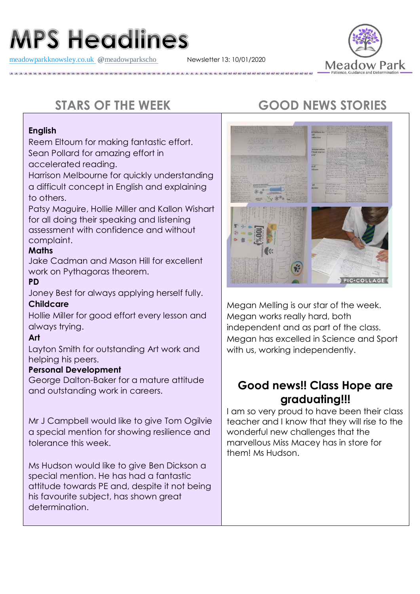# **MPS Headlines**

[meadowparkknowsley.co.uk](https://t.co/znDDto23ds) **@**[meadowparkscho](https://twitter.com/meadowparkscho) Newsletter 13: 10/01/2020



#### **English**

Reem Eltoum for making fantastic effort. Sean Pollard for amazing effort in accelerated reading.

Harrison Melbourne for quickly understanding a difficult concept in English and explaining to others.

Patsy Maguire, Hollie Miller and Kallon Wishart for all doing their speaking and listening assessment with confidence and without complaint.

#### **Maths**

Jake Cadman and Mason Hill for excellent work on Pythagoras theorem.

### **PD**

Joney Best for always applying herself fully.

#### **Childcare**

Hollie Miller for good effort every lesson and always trying.

#### **Art**

Layton Smith for outstanding Art work and helping his peers.

#### **Personal Development**

George Dalton-Baker for a mature attitude and outstanding work in careers.

Mr J Campbell would like to give Tom Ogilvie a special mention for showing resilience and tolerance this week.

Ms Hudson would like to give Ben Dickson a special mention. He has had a fantastic attitude towards PE and, despite it not being his favourite subject, has shown great determination.

# **STARS OF THE WEEK GOOD NEWS STORIES**



Megan Melling is our star of the week. Megan works really hard, both independent and as part of the class. Megan has excelled in Science and Sport with us, working independently.

## **Good news!! Class Hope are graduating!!!**

I am so very proud to have been their class teacher and I know that they will rise to the wonderful new challenges that the marvellous Miss Macey has in store for them! Ms Hudson.